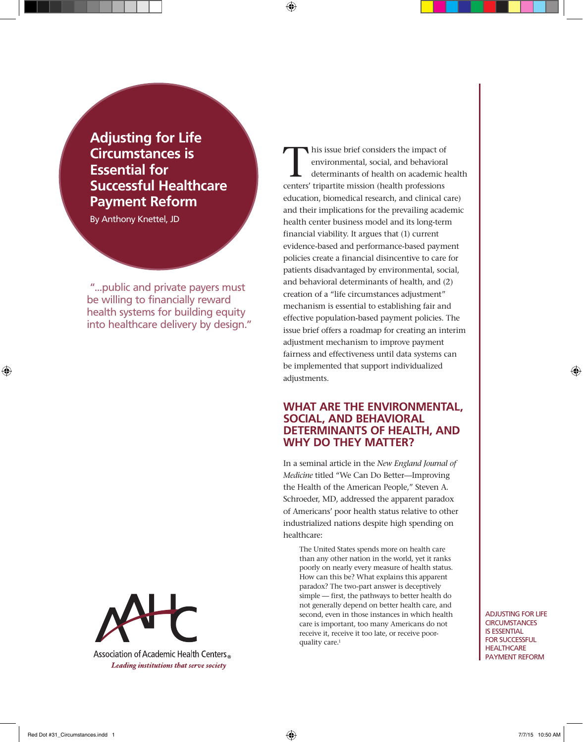**Adjusting for Life Circumstances is Essential for Successful Healthcare Payment Reform**

By Anthony Knettel, JD

"...public and private payers must be willing to financially reward health systems for building equity into healthcare delivery by design."

Association of Academic Health Centers<sup>®</sup> Leading institutions that serve society

This issue brief considers the impact of<br>environmental, social, and behavioral<br>determinants of health on academic h environmental, social, and behavioral determinants of health on academic health centers' tripartite mission (health professions education, biomedical research, and clinical care) and their implications for the prevailing academic health center business model and its long-term financial viability. It argues that (1) current evidence-based and performance-based payment policies create a financial disincentive to care for patients disadvantaged by environmental, social, and behavioral determinants of health, and (2) creation of a "life circumstances adjustment" mechanism is essential to establishing fair and effective population-based payment policies. The issue brief offers a roadmap for creating an interim adjustment mechanism to improve payment fairness and effectiveness until data systems can be implemented that support individualized adjustments.

### **WHAT ARE THE ENVIRONMENTAL, SOCIAL, AND BEHAVIORAL DETERMINANTS OF HEALTH, AND WHY DO THEY MATTER?**

In a seminal article in the *New England Journal of Medicine* titled "We Can Do Better—Improving the Health of the American People," Steven A. Schroeder, MD, addressed the apparent paradox of Americans' poor health status relative to other industrialized nations despite high spending on healthcare:

The United States spends more on health care than any other nation in the world, yet it ranks poorly on nearly every measure of health status. How can this be? What explains this apparent paradox? The two-part answer is deceptively simple — first, the pathways to better health do not generally depend on better health care, and second, even in those instances in which health care is important, too many Americans do not receive it, receive it too late, or receive poorquality care.<sup>1</sup>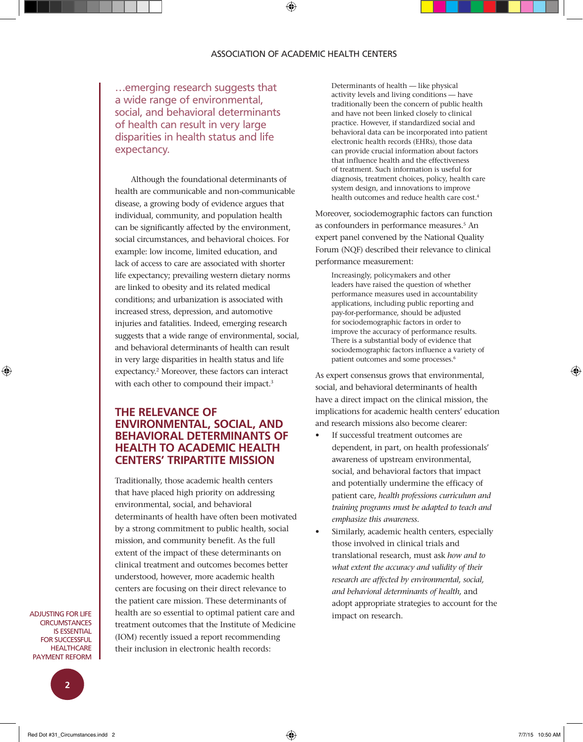…emerging research suggests that a wide range of environmental, social, and behavioral determinants of health can result in very large disparities in health status and life expectancy.

Although the foundational determinants of health are communicable and non-communicable disease, a growing body of evidence argues that individual, community, and population health can be significantly affected by the environment, social circumstances, and behavioral choices. For example: low income, limited education, and lack of access to care are associated with shorter life expectancy; prevailing western dietary norms are linked to obesity and its related medical conditions; and urbanization is associated with increased stress, depression, and automotive injuries and fatalities. Indeed, emerging research suggests that a wide range of environmental, social, and behavioral determinants of health can result in very large disparities in health status and life expectancy.2 Moreover, these factors can interact with each other to compound their impact.<sup>3</sup>

# **THE RELEVANCE OF ENVIRONMENTAL, SOCIAL, AND BEHAVIORAL DETERMINANTS OF HEALTH TO ACADEMIC HEALTH CENTERS' TRIPARTITE MISSION**

Traditionally, those academic health centers that have placed high priority on addressing environmental, social, and behavioral determinants of health have often been motivated by a strong commitment to public health, social mission, and community benefit. As the full extent of the impact of these determinants on clinical treatment and outcomes becomes better understood, however, more academic health centers are focusing on their direct relevance to the patient care mission. These determinants of health are so essential to optimal patient care and treatment outcomes that the Institute of Medicine (IOM) recently issued a report recommending their inclusion in electronic health records:

Determinants of health — like physical activity levels and living conditions — have traditionally been the concern of public health and have not been linked closely to clinical practice. However, if standardized social and behavioral data can be incorporated into patient electronic health records (EHRs), those data can provide crucial information about factors that influence health and the effectiveness of treatment. Such information is useful for diagnosis, treatment choices, policy, health care system design, and innovations to improve health outcomes and reduce health care cost.<sup>4</sup>

Moreover, sociodemographic factors can function as confounders in performance measures.<sup>5</sup> An expert panel convened by the National Quality Forum (NQF) described their relevance to clinical performance measurement:

Increasingly, policymakers and other leaders have raised the question of whether performance measures used in accountability applications, including public reporting and pay-for-performance, should be adjusted for sociodemographic factors in order to improve the accuracy of performance results. There is a substantial body of evidence that sociodemographic factors influence a variety of patient outcomes and some processes.6

As expert consensus grows that environmental, social, and behavioral determinants of health have a direct impact on the clinical mission, the implications for academic health centers' education and research missions also become clearer:

- If successful treatment outcomes are dependent, in part, on health professionals' awareness of upstream environmental, social, and behavioral factors that impact and potentially undermine the efficacy of patient care, *health professions curriculum and training programs must be adapted to teach and emphasize this awareness*.
- Similarly, academic health centers, especially those involved in clinical trials and translational research, must ask *how and to what extent the accuracy and validity of their research are affected by environmental, social, and behavioral determinants of health,* and adopt appropriate strategies to account for the impact on research.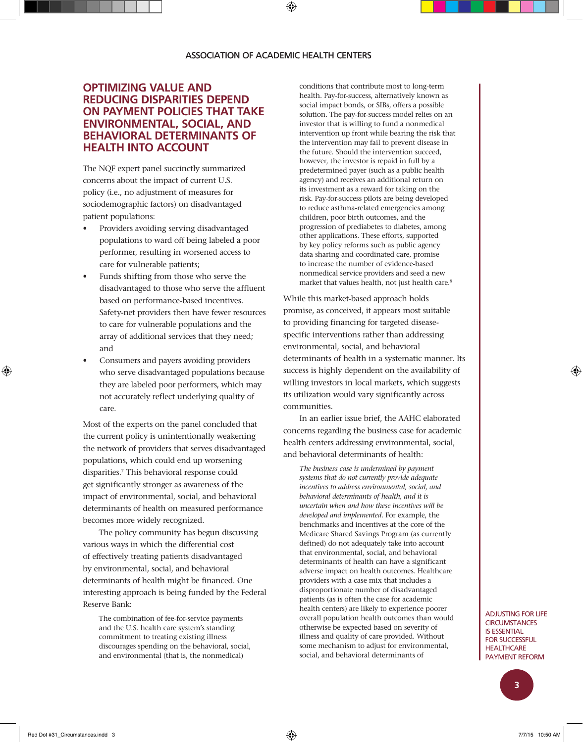## **OPTIMIZING VALUE AND REDUCING DISPARITIES DEPEND ON PAYMENT POLICIES THAT TAKE ENVIRONMENTAL, SOCIAL, AND BEHAVIORAL DETERMINANTS OF HEALTH INTO ACCOUNT**

The NQF expert panel succinctly summarized concerns about the impact of current U.S. policy (i.e., no adjustment of measures for sociodemographic factors) on disadvantaged patient populations:

- Providers avoiding serving disadvantaged populations to ward off being labeled a poor performer, resulting in worsened access to care for vulnerable patients;
- Funds shifting from those who serve the disadvantaged to those who serve the affluent based on performance-based incentives. Safety-net providers then have fewer resources to care for vulnerable populations and the array of additional services that they need; and
- Consumers and payers avoiding providers who serve disadvantaged populations because they are labeled poor performers, which may not accurately reflect underlying quality of care.

Most of the experts on the panel concluded that the current policy is unintentionally weakening the network of providers that serves disadvantaged populations, which could end up worsening disparities.7 This behavioral response could get significantly stronger as awareness of the impact of environmental, social, and behavioral determinants of health on measured performance becomes more widely recognized.

The policy community has begun discussing various ways in which the differential cost of effectively treating patients disadvantaged by environmental, social, and behavioral determinants of health might be financed. One interesting approach is being funded by the Federal Reserve Bank:

The combination of fee-for-service payments and the U.S. health care system's standing commitment to treating existing illness discourages spending on the behavioral, social, and environmental (that is, the nonmedical)

conditions that contribute most to long-term health. Pay-for-success, alternatively known as social impact bonds, or SIBs, offers a possible solution. The pay-for-success model relies on an investor that is willing to fund a nonmedical intervention up front while bearing the risk that the intervention may fail to prevent disease in the future. Should the intervention succeed, however, the investor is repaid in full by a predetermined payer (such as a public health agency) and receives an additional return on its investment as a reward for taking on the risk. Pay-for-success pilots are being developed to reduce asthma-related emergencies among children, poor birth outcomes, and the progression of prediabetes to diabetes, among other applications. These efforts, supported by key policy reforms such as public agency data sharing and coordinated care, promise to increase the number of evidence-based nonmedical service providers and seed a new market that values health, not just health care.<sup>8</sup>

While this market-based approach holds promise, as conceived, it appears most suitable to providing financing for targeted diseasespecific interventions rather than addressing environmental, social, and behavioral determinants of health in a systematic manner. Its success is highly dependent on the availability of willing investors in local markets, which suggests its utilization would vary significantly across communities.

In an earlier issue brief, the AAHC elaborated concerns regarding the business case for academic health centers addressing environmental, social, and behavioral determinants of health:

*The business case is undermined by payment systems that do not currently provide adequate incentives to address environmental, social, and behavioral determinants of health, and it is uncertain when and how these incentives will be developed and implemented.* For example, the benchmarks and incentives at the core of the Medicare Shared Savings Program (as currently defined) do not adequately take into account that environmental, social, and behavioral determinants of health can have a significant adverse impact on health outcomes. Healthcare providers with a case mix that includes a disproportionate number of disadvantaged patients (as is often the case for academic health centers) are likely to experience poorer overall population health outcomes than would otherwise be expected based on severity of illness and quality of care provided. Without some mechanism to adjust for environmental, social, and behavioral determinants of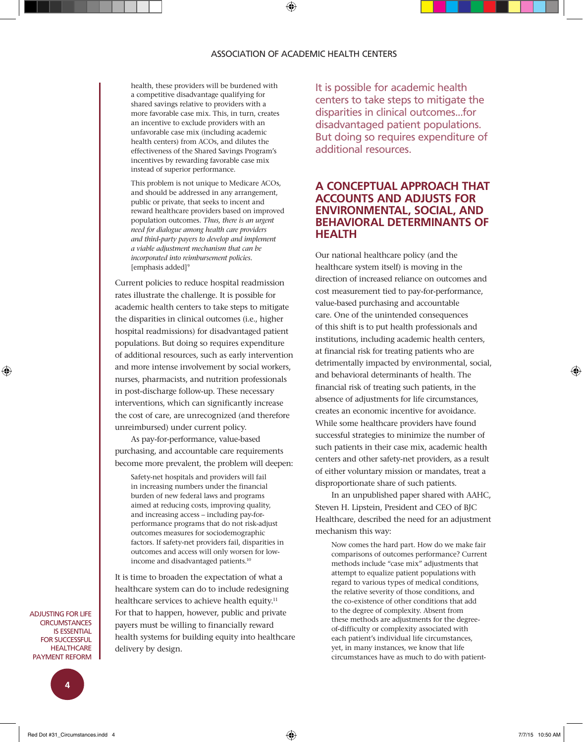health, these providers will be burdened with a competitive disadvantage qualifying for shared savings relative to providers with a more favorable case mix. This, in turn, creates an incentive to exclude providers with an unfavorable case mix (including academic health centers) from ACOs, and dilutes the effectiveness of the Shared Savings Program's incentives by rewarding favorable case mix instead of superior performance.

This problem is not unique to Medicare ACOs, and should be addressed in any arrangement, public or private, that seeks to incent and reward healthcare providers based on improved population outcomes. *Thus, there is an urgent need for dialogue among health care providers and third-party payers to develop and implement a viable adjustment mechanism that can be incorporated into reimbursement policies.* [emphasis added]<sup>9</sup>

Current policies to reduce hospital readmission rates illustrate the challenge. It is possible for academic health centers to take steps to mitigate the disparities in clinical outcomes (i.e., higher hospital readmissions) for disadvantaged patient populations. But doing so requires expenditure of additional resources, such as early intervention and more intense involvement by social workers, nurses, pharmacists, and nutrition professionals in post-discharge follow-up. These necessary interventions, which can significantly increase the cost of care, are unrecognized (and therefore unreimbursed) under current policy.

As pay-for-performance, value-based purchasing, and accountable care requirements become more prevalent, the problem will deepen:

Safety-net hospitals and providers will fail in increasing numbers under the financial burden of new federal laws and programs aimed at reducing costs, improving quality, and increasing access – including pay-forperformance programs that do not risk-adjust outcomes measures for sociodemographic factors. If safety-net providers fail, disparities in outcomes and access will only worsen for lowincome and disadvantaged patients.10

It is time to broaden the expectation of what a healthcare system can do to include redesigning healthcare services to achieve health equity.<sup>11</sup> For that to happen, however, public and private payers must be willing to financially reward health systems for building equity into healthcare delivery by design.

It is possible for academic health centers to take steps to mitigate the disparities in clinical outcomes...for disadvantaged patient populations. But doing so requires expenditure of additional resources.

## **A CONCEPTUAL APPROACH THAT ACCOUNTS AND ADJUSTS FOR ENVIRONMENTAL, SOCIAL, AND BEHAVIORAL DETERMINANTS OF HEALTH**

Our national healthcare policy (and the healthcare system itself) is moving in the direction of increased reliance on outcomes and cost measurement tied to pay-for-performance, value-based purchasing and accountable care. One of the unintended consequences of this shift is to put health professionals and institutions, including academic health centers, at financial risk for treating patients who are detrimentally impacted by environmental, social, and behavioral determinants of health. The financial risk of treating such patients, in the absence of adjustments for life circumstances, creates an economic incentive for avoidance. While some healthcare providers have found successful strategies to minimize the number of such patients in their case mix, academic health centers and other safety-net providers, as a result of either voluntary mission or mandates, treat a disproportionate share of such patients.

In an unpublished paper shared with AAHC, Steven H. Lipstein, President and CEO of BJC Healthcare, described the need for an adjustment mechanism this way:

Now comes the hard part. How do we make fair comparisons of outcomes performance? Current methods include "case mix" adjustments that attempt to equalize patient populations with regard to various types of medical conditions, the relative severity of those conditions, and the co-existence of other conditions that add to the degree of complexity. Absent from these methods are adjustments for the degreeof-difficulty or complexity associated with each patient's individual life circumstances, yet, in many instances, we know that life circumstances have as much to do with patient-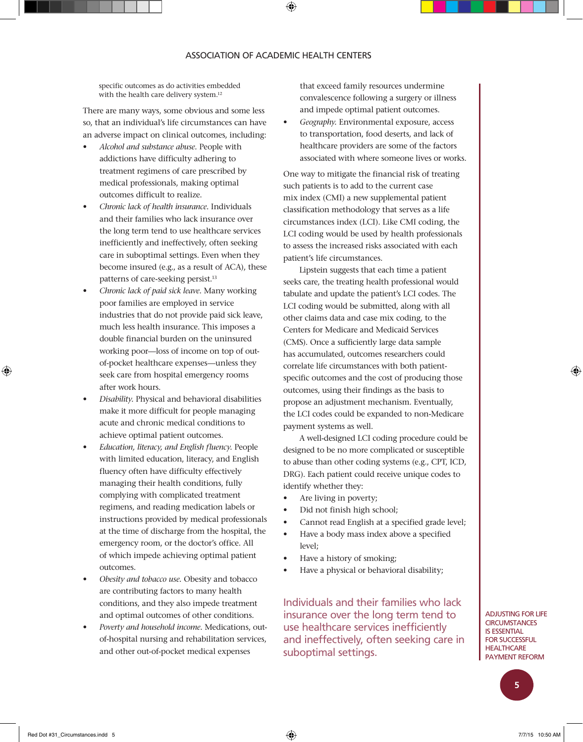#### ASSOCIATION OF ACADEMIC HEALTH CENTERS

specific outcomes as do activities embedded with the health care delivery system.<sup>12</sup>

There are many ways, some obvious and some less so, that an individual's life circumstances can have an adverse impact on clinical outcomes, including:

- *Alcohol and substance abuse.* People with addictions have difficulty adhering to treatment regimens of care prescribed by medical professionals, making optimal outcomes difficult to realize.
- *Chronic lack of health insurance.* Individuals and their families who lack insurance over the long term tend to use healthcare services inefficiently and ineffectively, often seeking care in suboptimal settings. Even when they become insured (e.g., as a result of ACA), these patterns of care-seeking persist.<sup>13</sup>
- *Chronic lack of paid sick leave.* Many working poor families are employed in service industries that do not provide paid sick leave, much less health insurance. This imposes a double financial burden on the uninsured working poor—loss of income on top of outof-pocket healthcare expenses—unless they seek care from hospital emergency rooms after work hours.
- *Disability.* Physical and behavioral disabilities make it more difficult for people managing acute and chronic medical conditions to achieve optimal patient outcomes.
- *Education, literacy, and English fluency.* People with limited education, literacy, and English fluency often have difficulty effectively managing their health conditions, fully complying with complicated treatment regimens, and reading medication labels or instructions provided by medical professionals at the time of discharge from the hospital, the emergency room, or the doctor's office. All of which impede achieving optimal patient outcomes.
- *Obesity and tobacco use.* Obesity and tobacco are contributing factors to many health conditions, and they also impede treatment and optimal outcomes of other conditions.
- *Poverty and household income.* Medications, outof-hospital nursing and rehabilitation services, and other out-of-pocket medical expenses

that exceed family resources undermine convalescence following a surgery or illness and impede optimal patient outcomes.

• *Geography.* Environmental exposure, access to transportation, food deserts, and lack of healthcare providers are some of the factors associated with where someone lives or works.

One way to mitigate the financial risk of treating such patients is to add to the current case mix index (CMI) a new supplemental patient classification methodology that serves as a life circumstances index (LCI). Like CMI coding, the LCI coding would be used by health professionals to assess the increased risks associated with each patient's life circumstances.

Lipstein suggests that each time a patient seeks care, the treating health professional would tabulate and update the patient's LCI codes. The LCI coding would be submitted, along with all other claims data and case mix coding, to the Centers for Medicare and Medicaid Services (CMS). Once a sufficiently large data sample has accumulated, outcomes researchers could correlate life circumstances with both patientspecific outcomes and the cost of producing those outcomes, using their findings as the basis to propose an adjustment mechanism. Eventually, the LCI codes could be expanded to non-Medicare payment systems as well.

A well-designed LCI coding procedure could be designed to be no more complicated or susceptible to abuse than other coding systems (e.g., CPT, ICD, DRG). Each patient could receive unique codes to identify whether they:

- Are living in poverty;
- Did not finish high school;
- Cannot read English at a specified grade level;
- Have a body mass index above a specified level;
- Have a history of smoking;
- Have a physical or behavioral disability;

Individuals and their families who lack insurance over the long term tend to use healthcare services inefficiently and ineffectively, often seeking care in suboptimal settings.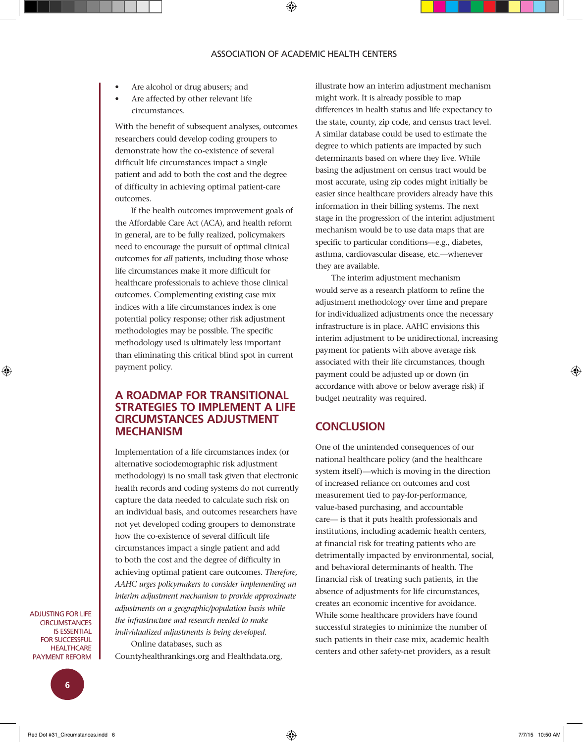- Are alcohol or drug abusers; and
- Are affected by other relevant life circumstances.

With the benefit of subsequent analyses, outcomes researchers could develop coding groupers to demonstrate how the co-existence of several difficult life circumstances impact a single patient and add to both the cost and the degree of difficulty in achieving optimal patient-care outcomes.

If the health outcomes improvement goals of the Affordable Care Act (ACA), and health reform in general, are to be fully realized, policymakers need to encourage the pursuit of optimal clinical outcomes for *all* patients, including those whose life circumstances make it more difficult for healthcare professionals to achieve those clinical outcomes. Complementing existing case mix indices with a life circumstances index is one potential policy response; other risk adjustment methodologies may be possible. The specific methodology used is ultimately less important than eliminating this critical blind spot in current payment policy.

### **A ROADMAP FOR TRANSITIONAL STRATEGIES TO IMPLEMENT A LIFE CIRCUMSTANCES ADJUSTMENT MECHANISM**

Implementation of a life circumstances index (or alternative sociodemographic risk adjustment methodology) is no small task given that electronic health records and coding systems do not currently capture the data needed to calculate such risk on an individual basis, and outcomes researchers have not yet developed coding groupers to demonstrate how the co-existence of several difficult life circumstances impact a single patient and add to both the cost and the degree of difficulty in achieving optimal patient care outcomes. *Therefore, AAHC urges policymakers to consider implementing an interim adjustment mechanism to provide approximate adjustments on a geographic/population basis while the infrastructure and research needed to make individualized adjustments is being developed.*

Online databases, such as Countyhealthrankings.org and Healthdata.org,

illustrate how an interim adjustment mechanism might work. It is already possible to map differences in health status and life expectancy to the state, county, zip code, and census tract level. A similar database could be used to estimate the degree to which patients are impacted by such determinants based on where they live. While basing the adjustment on census tract would be most accurate, using zip codes might initially be easier since healthcare providers already have this information in their billing systems. The next stage in the progression of the interim adjustment mechanism would be to use data maps that are specific to particular conditions—e.g., diabetes, asthma, cardiovascular disease, etc.—whenever they are available.

The interim adjustment mechanism would serve as a research platform to refine the adjustment methodology over time and prepare for individualized adjustments once the necessary infrastructure is in place. AAHC envisions this interim adjustment to be unidirectional, increasing payment for patients with above average risk associated with their life circumstances, though payment could be adjusted up or down (in accordance with above or below average risk) if budget neutrality was required.

## **CONCLUSION**

One of the unintended consequences of our national healthcare policy (and the healthcare system itself)—which is moving in the direction of increased reliance on outcomes and cost measurement tied to pay-for-performance, value-based purchasing, and accountable care— is that it puts health professionals and institutions, including academic health centers, at financial risk for treating patients who are detrimentally impacted by environmental, social, and behavioral determinants of health. The financial risk of treating such patients, in the absence of adjustments for life circumstances, creates an economic incentive for avoidance. While some healthcare providers have found successful strategies to minimize the number of such patients in their case mix, academic health centers and other safety-net providers, as a result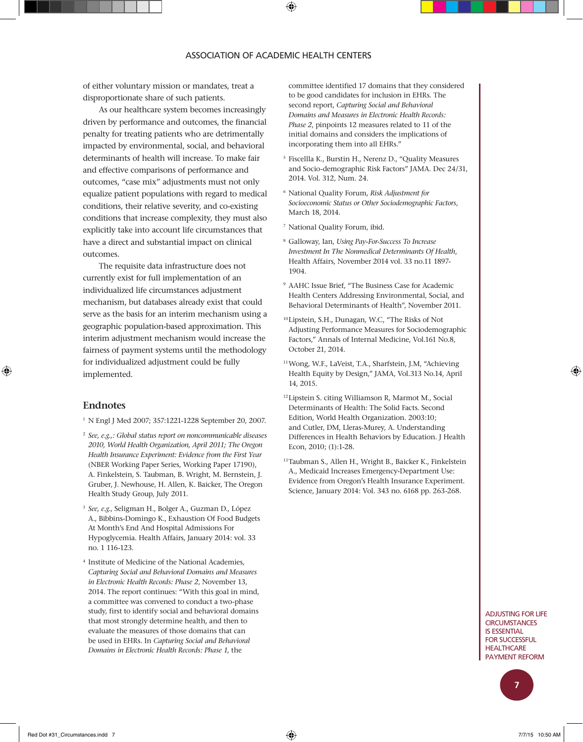of either voluntary mission or mandates, treat a disproportionate share of such patients.

As our healthcare system becomes increasingly driven by performance and outcomes, the financial penalty for treating patients who are detrimentally impacted by environmental, social, and behavioral determinants of health will increase. To make fair and effective comparisons of performance and outcomes, "case mix" adjustments must not only equalize patient populations with regard to medical conditions, their relative severity, and co-existing conditions that increase complexity, they must also explicitly take into account life circumstances that have a direct and substantial impact on clinical outcomes.

The requisite data infrastructure does not currently exist for full implementation of an individualized life circumstances adjustment mechanism, but databases already exist that could serve as the basis for an interim mechanism using a geographic population-based approximation. This interim adjustment mechanism would increase the fairness of payment systems until the methodology for individualized adjustment could be fully implemented.

#### **Endnotes**

<sup>1</sup> N Engl J Med 2007; 357:1221-1228 September 20, 2007.

- <sup>2</sup> *See, e.g.,: Global status report on noncommunicable diseases 2010, World Health Organization, April 2011; The Oregon Health Insurance Experiment: Evidence from the First Year*  (NBER Working Paper Series, Working Paper 17190), A. Finkelstein, S. Taubman, B. Wright, M. Bernstein, J. Gruber, J. Newhouse, H. Allen, K. Baicker, The Oregon Health Study Group, July 2011.
- <sup>3</sup> *See, e.g.*, Seligman H., Bolger A., Guzman D., López A., Bibbins-Domingo K., Exhaustion Of Food Budgets At Month's End And Hospital Admissions For Hypoglycemia. Health Affairs, January 2014: vol. 33 no. 1 116-123.
- <sup>4</sup> Institute of Medicine of the National Academies, *Capturing Social and Behavioral Domains and Measures in Electronic Health Records: Phase 2*, November 13, 2014. The report continues: "With this goal in mind, a committee was convened to conduct a two-phase study, first to identify social and behavioral domains that most strongly determine health, and then to evaluate the measures of those domains that can be used in EHRs. In *Capturing Social and Behavioral Domains in Electronic Health Records: Phase 1*, the

committee identified 17 domains that they considered to be good candidates for inclusion in EHRs. The second report, *Capturing Social and Behavioral Domains and Measures in Electronic Health Records: Phase 2*, pinpoints 12 measures related to 11 of the initial domains and considers the implications of incorporating them into all EHRs."

- <sup>5</sup> Fiscellla K., Burstin H., Nerenz D., "Quality Measures and Socio-demographic Risk Factors" JAMA. Dec 24/31, 2014. Vol. 312, Num. 24.
- <sup>6</sup> National Quality Forum, *Risk Adjustment for Socioeconomic Status or Other Sociodemographic Factors*, March 18, 2014.
- <sup>7</sup> National Quality Forum, ibid.
- <sup>8</sup> Galloway, Ian, *Using Pay-For-Success To Increase Investment In The Nonmedical Determinants Of Health*, Health Affairs, November 2014 vol. 33 no.11 1897- 1904.
- <sup>9</sup> AAHC Issue Brief, "The Business Case for Academic Health Centers Addressing Environmental, Social, and Behavioral Determinants of Health", November 2011.
- <sup>10</sup> Lipstein, S.H., Dunagan, W.C, "The Risks of Not Adjusting Performance Measures for Sociodemographic Factors," Annals of Internal Medicine, Vol.161 No.8, October 21, 2014.
- 11Wong, W.F., LaVeist, T.A., Sharfstein, J.M, "Achieving Health Equity by Design," JAMA, Vol.313 No.14, April 14, 2015.
- <sup>12</sup> Lipstein S. citing Williamson R, Marmot M., Social Determinants of Health: The Solid Facts. Second Edition, World Health Organization. 2003:10; and Cutler, DM, Lleras-Murey, A. Understanding Differences in Health Behaviors by Education. J Health Econ, 2010; (1):1-28.
- <sup>13</sup>Taubman S., Allen H., Wright B., Baicker K., Finkelstein A., Medicaid Increases Emergency-Department Use: Evidence from Oregon's Health Insurance Experiment. Science, January 2014: Vol. 343 no. 6168 pp. 263-268.